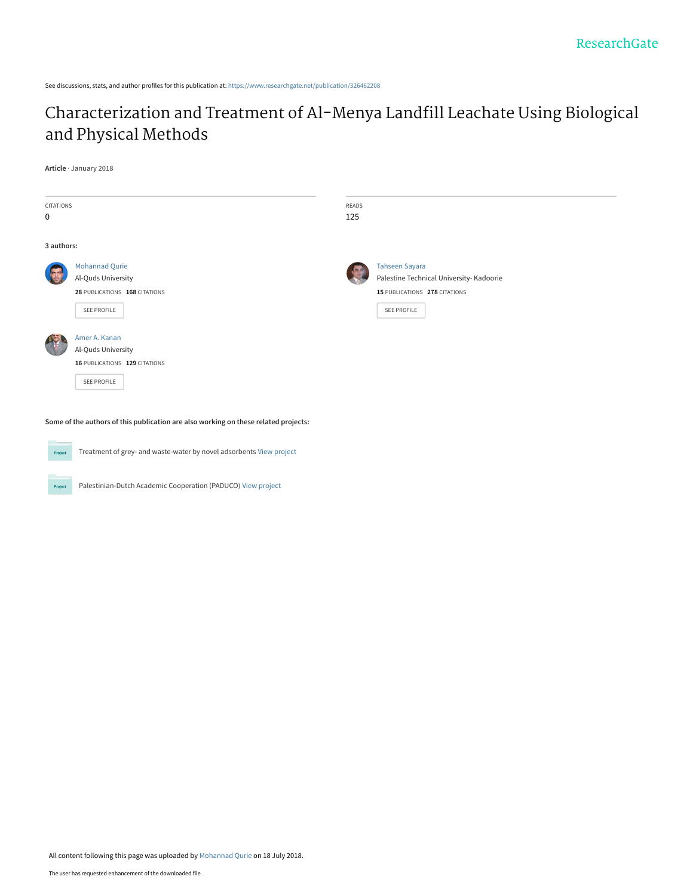See discussions, stats, and author profiles for this publication at: [https://www.researchgate.net/publication/326462208](https://www.researchgate.net/publication/326462208_Characterization_and_Treatment_of_Al-Menya_Landfill_Leachate_Using_Biological_and_Physical_Methods?enrichId=rgreq-44d11b0da467b1c64887d6921ff617f0-XXX&enrichSource=Y292ZXJQYWdlOzMyNjQ2MjIwODtBUzo2NDk2NzY5Njk3NjY5MTNAMTUzMTkwNjQ2ODcyMQ%3D%3D&el=1_x_2&_esc=publicationCoverPdf)

# [Characterization and Treatment of Al-Menya Landfill Leachate Using Biological](https://www.researchgate.net/publication/326462208_Characterization_and_Treatment_of_Al-Menya_Landfill_Leachate_Using_Biological_and_Physical_Methods?enrichId=rgreq-44d11b0da467b1c64887d6921ff617f0-XXX&enrichSource=Y292ZXJQYWdlOzMyNjQ2MjIwODtBUzo2NDk2NzY5Njk3NjY5MTNAMTUzMTkwNjQ2ODcyMQ%3D%3D&el=1_x_3&_esc=publicationCoverPdf) and Physical Methods

#### **Article** · January 2018

| CITATIONS<br>0 |                                                                                             | READS<br>125 |                                                                                                                   |  |
|----------------|---------------------------------------------------------------------------------------------|--------------|-------------------------------------------------------------------------------------------------------------------|--|
| 3 authors:     |                                                                                             |              |                                                                                                                   |  |
|                | <b>Mohannad Qurie</b><br>Al-Quds University<br>28 PUBLICATIONS 168 CITATIONS<br>SEE PROFILE | Ø            | Tahseen Sayara<br>Palestine Technical University- Kadoorie<br>15 PUBLICATIONS 278 CITATIONS<br><b>SEE PROFILE</b> |  |
|                | Amer A. Kanan<br>Al-Quds University<br>16 PUBLICATIONS 129 CITATIONS<br>SEE PROFILE         |              |                                                                                                                   |  |

**Some of the authors of this publication are also working on these related projects:**



Treatment of grey- and waste-water by novel adsorbents [View project](https://www.researchgate.net/project/Treatment-of-grey-and-waste-water-by-novel-adsorbents?enrichId=rgreq-44d11b0da467b1c64887d6921ff617f0-XXX&enrichSource=Y292ZXJQYWdlOzMyNjQ2MjIwODtBUzo2NDk2NzY5Njk3NjY5MTNAMTUzMTkwNjQ2ODcyMQ%3D%3D&el=1_x_9&_esc=publicationCoverPdf)

Project

Palestinian-Dutch Academic Cooperation (PADUCO) [View project](https://www.researchgate.net/project/Palestinian-Dutch-Academic-Cooperation-PADUCO?enrichId=rgreq-44d11b0da467b1c64887d6921ff617f0-XXX&enrichSource=Y292ZXJQYWdlOzMyNjQ2MjIwODtBUzo2NDk2NzY5Njk3NjY5MTNAMTUzMTkwNjQ2ODcyMQ%3D%3D&el=1_x_9&_esc=publicationCoverPdf)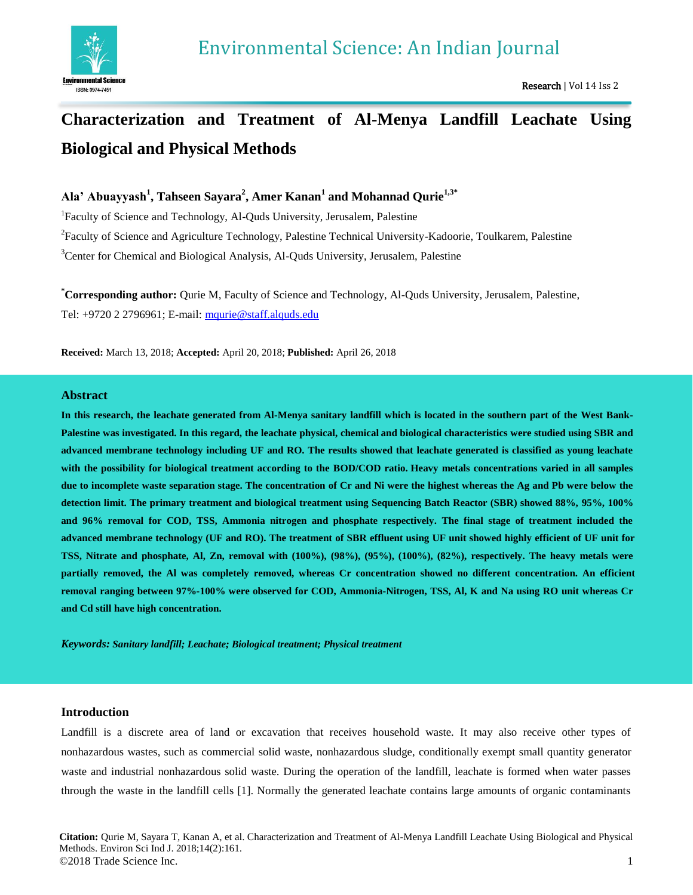

# **Characterization and Treatment of Al-Menya Landfill Leachate Using Biological and Physical Methods**

## **Ala' Abuayyash<sup>1</sup> , Tahseen Sayara<sup>2</sup> , Amer Kanan<sup>1</sup> and Mohannad Qurie1,3\***

<sup>1</sup>Faculty of Science and Technology, Al-Quds University, Jerusalem, Palestine <sup>2</sup> Faculty of Science and Agriculture Technology, Palestine Technical University-Kadoorie, Toulkarem, Palestine <sup>3</sup>Center for Chemical and Biological Analysis, Al-Quds University, Jerusalem, Palestine

**\*Corresponding author:** Qurie M, Faculty of Science and Technology, Al-Quds University, Jerusalem, Palestine, Tel: +9720 2 2796961; E-mail: [mqurie@staff.alquds.edu](mailto:mqurie@staff.alquds.edu)

**Received:** March 13, 2018; **Accepted:** April 20, 2018; **Published:** April 26, 2018

## **Abstract**

**In this research, the leachate generated from Al-Menya sanitary landfill which is located in the southern part of the West Bank-Palestine was investigated. In this regard, the leachate physical, chemical and biological characteristics were studied using SBR and advanced membrane technology including UF and RO. The results showed that leachate generated is classified as young leachate with the possibility for biological treatment according to the BOD/COD ratio. Heavy metals concentrations varied in all samples due to incomplete waste separation stage. The concentration of Cr and Ni were the highest whereas the Ag and Pb were below the detection limit. The primary treatment and biological treatment using Sequencing Batch Reactor (SBR) showed 88%, 95%, 100% and 96% removal for COD, TSS, Ammonia nitrogen and phosphate respectively. The final stage of treatment included the advanced membrane technology (UF and RO). The treatment of SBR effluent using UF unit showed highly efficient of UF unit for TSS, Nitrate and phosphate, Al, Zn, removal with (100%), (98%), (95%), (100%), (82%), respectively. The heavy metals were partially removed, the Al was completely removed, whereas Cr concentration showed no different concentration. An efficient removal ranging between 97%-100% were observed for COD, Ammonia-Nitrogen, TSS, Al, K and Na using RO unit whereas Cr and Cd still have high concentration.**

*Keywords: Sanitary landfill; Leachate; Biological treatment; Physical treatment*

## **Introduction**

Landfill is a discrete area of land or excavation that receives household waste. It may also receive other types of nonhazardous wastes, such as commercial solid waste, nonhazardous sludge, conditionally exempt small quantity generator waste and industrial nonhazardous solid waste. During the operation of the landfill, leachate is formed when water passes through the waste in the landfill cells [1]. Normally the generated leachate contains large amounts of organic contaminants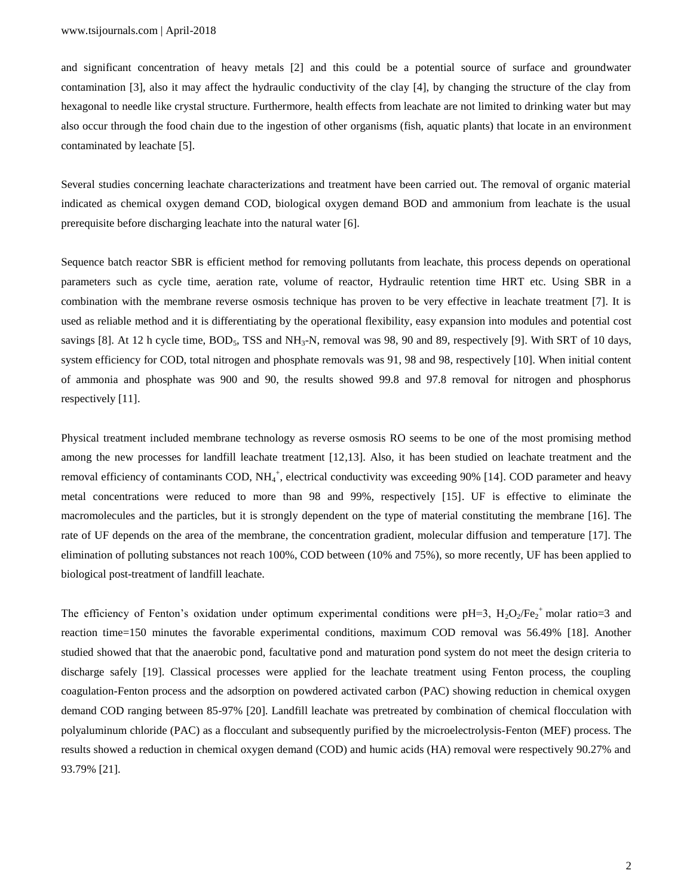and significant concentration of heavy metals [2] and this could be a potential source of surface and groundwater contamination [3], also it may affect the hydraulic conductivity of the clay [4], by changing the structure of the clay from hexagonal to needle like crystal structure. Furthermore, health effects from leachate are not limited to drinking water but may also occur through the food chain due to the ingestion of other organisms (fish, aquatic plants) that locate in an environment contaminated by leachate [5].

Several studies concerning leachate characterizations and treatment have been carried out. The removal of organic material indicated as chemical oxygen demand COD, biological oxygen demand BOD and ammonium from leachate is the usual prerequisite before discharging leachate into the natural water [6].

Sequence batch reactor SBR is efficient method for removing pollutants from leachate, this process depends on operational parameters such as cycle time, aeration rate, volume of reactor, Hydraulic retention time HRT etc. Using SBR in a combination with the membrane reverse osmosis technique has proven to be very effective in leachate treatment [7]. It is used as reliable method and it is differentiating by the operational flexibility, easy expansion into modules and potential cost savings [8]. At 12 h cycle time,  $BOD_5$ , TSS and  $NH_3-N$ , removal was 98, 90 and 89, respectively [9]. With SRT of 10 days, system efficiency for COD, total nitrogen and phosphate removals was 91, 98 and 98, respectively [10]. When initial content of ammonia and phosphate was 900 and 90, the results showed 99.8 and 97.8 removal for nitrogen and phosphorus respectively [11].

Physical treatment included membrane technology as reverse osmosis RO seems to be one of the most promising method among the new processes for landfill leachate treatment [12,13]. Also, it has been studied on leachate treatment and the removal efficiency of contaminants COD, NH<sub>4</sub><sup>+</sup>, electrical conductivity was exceeding 90% [14]. COD parameter and heavy metal concentrations were reduced to more than 98 and 99%, respectively [15]. UF is effective to eliminate the macromolecules and the particles, but it is strongly dependent on the type of material constituting the membrane [16]. The rate of UF depends on the area of the membrane, the concentration gradient, molecular diffusion and temperature [17]. The elimination of polluting substances not reach 100%, COD between (10% and 75%), so more recently, UF has been applied to biological post-treatment of landfill leachate.

The efficiency of Fenton's oxidation under optimum experimental conditions were pH=3,  $H_2O_2/Fe_2^+$  molar ratio=3 and reaction time=150 minutes the favorable experimental conditions, maximum COD removal was 56.49% [18]. Another studied showed that that the anaerobic pond, facultative pond and maturation pond system do not meet the design criteria to discharge safely [19]. Classical processes were applied for the leachate treatment using Fenton process, the coupling coagulation-Fenton process and the adsorption on powdered activated carbon (PAC) showing reduction in chemical oxygen demand COD ranging between 85-97% [20]. Landfill leachate was pretreated by combination of chemical flocculation with polyaluminum chloride (PAC) as a flocculant and subsequently purified by the microelectrolysis-Fenton (MEF) process. The results showed a reduction in chemical oxygen demand (COD) and humic acids (HA) removal were respectively 90.27% and 93.79% [21].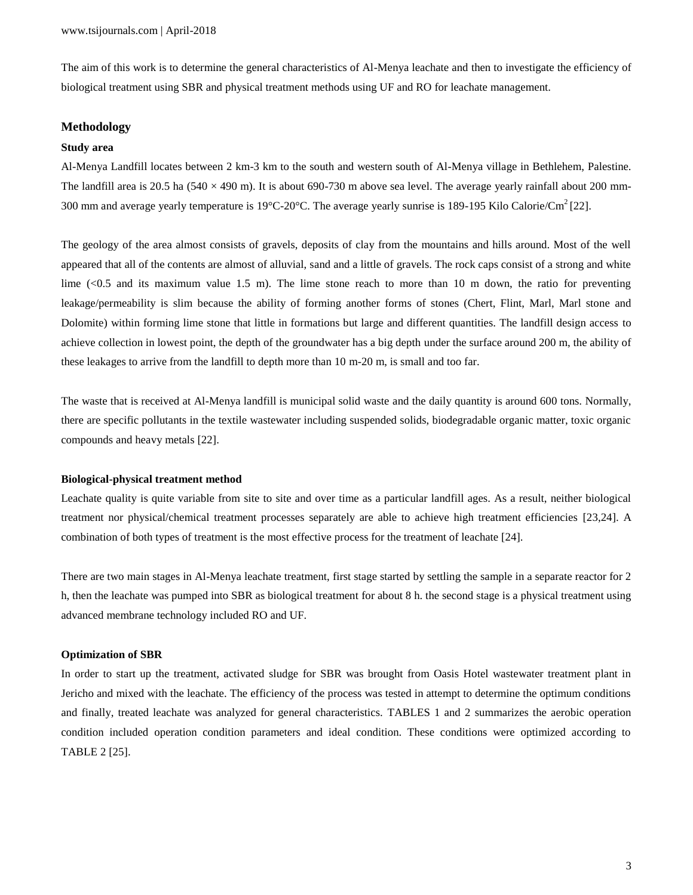The aim of this work is to determine the general characteristics of Al-Menya leachate and then to investigate the efficiency of biological treatment using SBR and physical treatment methods using UF and RO for leachate management.

## **Methodology**

## **Study area**

Al-Menya Landfill locates between 2 km-3 km to the south and western south of Al-Menya village in Bethlehem, Palestine. The landfill area is 20.5 ha ( $540 \times 490$  m). It is about 690-730 m above sea level. The average yearly rainfall about 200 mm-300 mm and average yearly temperature is 19 $^{\circ}$ C-20 $^{\circ}$ C. The average yearly sunrise is 189-195 Kilo Calorie/Cm<sup>2</sup> [22].

The geology of the area almost consists of gravels, deposits of clay from the mountains and hills around. Most of the well appeared that all of the contents are almost of alluvial, sand and a little of gravels. The rock caps consist of a strong and white lime  $\ll 0.5$  and its maximum value 1.5 m). The lime stone reach to more than 10 m down, the ratio for preventing leakage/permeability is slim because the ability of forming another forms of stones (Chert, Flint, Marl, Marl stone and Dolomite) within forming lime stone that little in formations but large and different quantities. The landfill design access to achieve collection in lowest point, the depth of the groundwater has a big depth under the surface around 200 m, the ability of these leakages to arrive from the landfill to depth more than 10 m-20 m, is small and too far.

The waste that is received at Al-Menya landfill is municipal solid waste and the daily quantity is around 600 tons. Normally, there are specific pollutants in the textile wastewater including suspended solids, biodegradable organic matter, toxic organic compounds and heavy metals [22].

#### **Biological-physical treatment method**

Leachate quality is quite variable from site to site and over time as a particular landfill ages. As a result, neither biological treatment nor physical/chemical treatment processes separately are able to achieve high treatment efficiencies [23,24]. A combination of both types of treatment is the most effective process for the treatment of leachate [24].

There are two main stages in Al-Menya leachate treatment, first stage started by settling the sample in a separate reactor for 2 h, then the leachate was pumped into SBR as biological treatment for about 8 h. the second stage is a physical treatment using advanced membrane technology included RO and UF.

#### **Optimization of SBR**

In order to start up the treatment, activated sludge for SBR was brought from Oasis Hotel wastewater treatment plant in Jericho and mixed with the leachate. The efficiency of the process was tested in attempt to determine the optimum conditions and finally, treated leachate was analyzed for general characteristics. TABLES 1 and 2 summarizes the aerobic operation condition included operation condition parameters and ideal condition. These conditions were optimized according to TABLE 2 [25].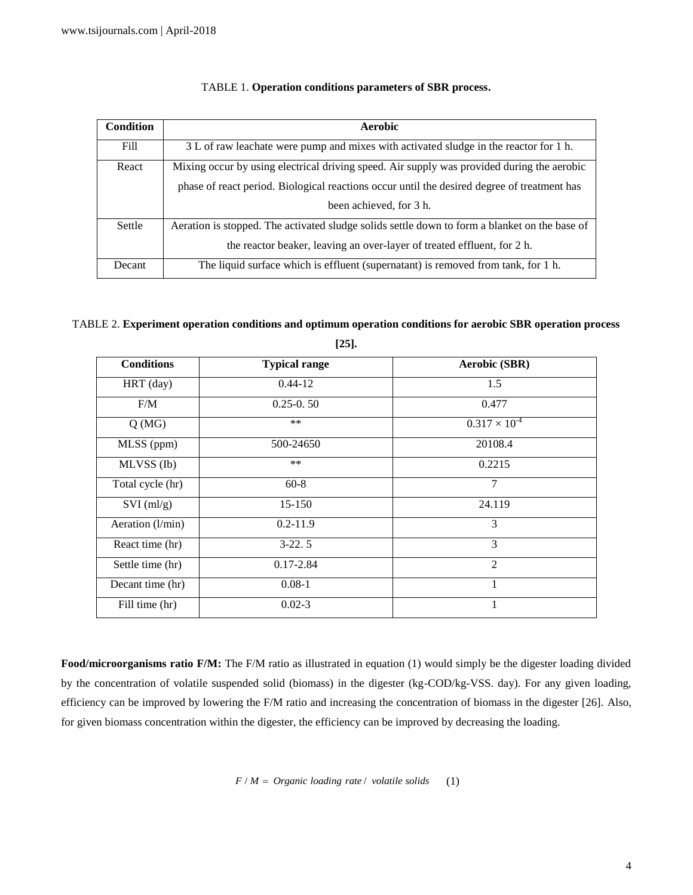| <b>Condition</b> | Aerobic                                                                                       |  |  |  |
|------------------|-----------------------------------------------------------------------------------------------|--|--|--|
| Fill             | 3 L of raw leachate were pump and mixes with activated sludge in the reactor for 1 h.         |  |  |  |
| React            | Mixing occur by using electrical driving speed. Air supply was provided during the aerobic    |  |  |  |
|                  | phase of react period. Biological reactions occur until the desired degree of treatment has   |  |  |  |
|                  | been achieved, for 3 h.                                                                       |  |  |  |
| Settle           | Aeration is stopped. The activated sludge solids settle down to form a blanket on the base of |  |  |  |
|                  | the reactor beaker, leaving an over-layer of treated effluent, for 2 h.                       |  |  |  |
| Decant           | The liquid surface which is effluent (supernatant) is removed from tank, for 1 h.             |  |  |  |

## TABLE 1. **Operation conditions parameters of SBR process.**

## TABLE 2. **Experiment operation conditions and optimum operation conditions for aerobic SBR operation process [25].**

| <b>Conditions</b> | <b>Typical range</b> | <b>Aerobic (SBR)</b>   |
|-------------------|----------------------|------------------------|
| HRT (day)         | $0.44 - 12$          | 1.5                    |
| F/M               | $0.25 - 0.50$        | 0.477                  |
| Q(MG)             | $***$                | $0.317 \times 10^{-4}$ |
| MLSS (ppm)        | 500-24650            | 20108.4                |
| MLVSS (Ib)        | $***$                | 0.2215                 |
| Total cycle (hr)  | $60 - 8$             | 7                      |
| $SVI$ (ml/g)      | 15-150               | 24.119                 |
| Aeration (l/min)  | $0.2 - 11.9$         | 3                      |
| React time (hr)   | $3-22.5$             | 3                      |
| Settle time (hr)  | $0.17 - 2.84$        | $\overline{2}$         |
| Decant time (hr)  | $0.08 - 1$           | 1                      |
| Fill time (hr)    | $0.02 - 3$           | 1                      |

**Food/microorganisms ratio F/M:** The F/M ratio as illustrated in equation (1) would simply be the digester loading divided by the concentration of volatile suspended solid (biomass) in the digester (kg-COD/kg-VSS. day). For any given loading, efficiency can be improved by lowering the F/M ratio and increasing the concentration of biomass in the digester [26]. Also, for given biomass concentration within the digester, the efficiency can be improved by decreasing the loading.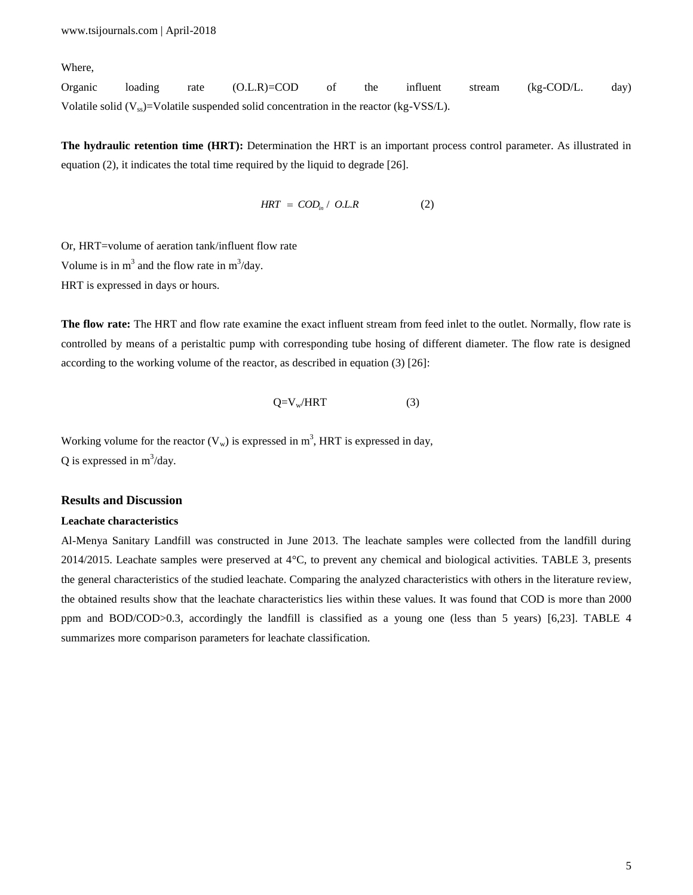Where,

Organic loading rate (O.L.R)=COD of the influent stream (kg-COD/L. day) Volatile solid  $(V_{\rm ss})$ =Volatile suspended solid concentration in the reactor (kg-VSS/L).

**The hydraulic retention time (HRT):** Determination the HRT is an important process control parameter. As illustrated in equation (2), it indicates the total time required by the liquid to degrade [26].

$$
HRT = COD_{in} / OL.R \tag{2}
$$

Or, HRT=volume of aeration tank/influent flow rate Volume is in  $m^3$  and the flow rate in  $m^3/day$ .

HRT is expressed in days or hours.

**The flow rate:** The HRT and flow rate examine the exact influent stream from feed inlet to the outlet. Normally, flow rate is controlled by means of a peristaltic pump with corresponding tube hosing of different diameter. The flow rate is designed according to the working volume of the reactor, as described in equation (3) [26]:

$$
Q=V_w/HRT
$$
 (3)

Working volume for the reactor  $(V_w)$  is expressed in  $m^3$ , HRT is expressed in day, Q is expressed in  $m^3$ /day.

## **Results and Discussion**

## **Leachate characteristics**

Al-Menya Sanitary Landfill was constructed in June 2013. The leachate samples were collected from the landfill during 2014/2015. Leachate samples were preserved at 4°C, to prevent any chemical and biological activities. TABLE 3, presents the general characteristics of the studied leachate. Comparing the analyzed characteristics with others in the literature review, the obtained results show that the leachate characteristics lies within these values. It was found that COD is more than 2000 ppm and BOD/COD>0.3, accordingly the landfill is classified as a young one (less than 5 years) [6,23]. TABLE 4 summarizes more comparison parameters for leachate classification.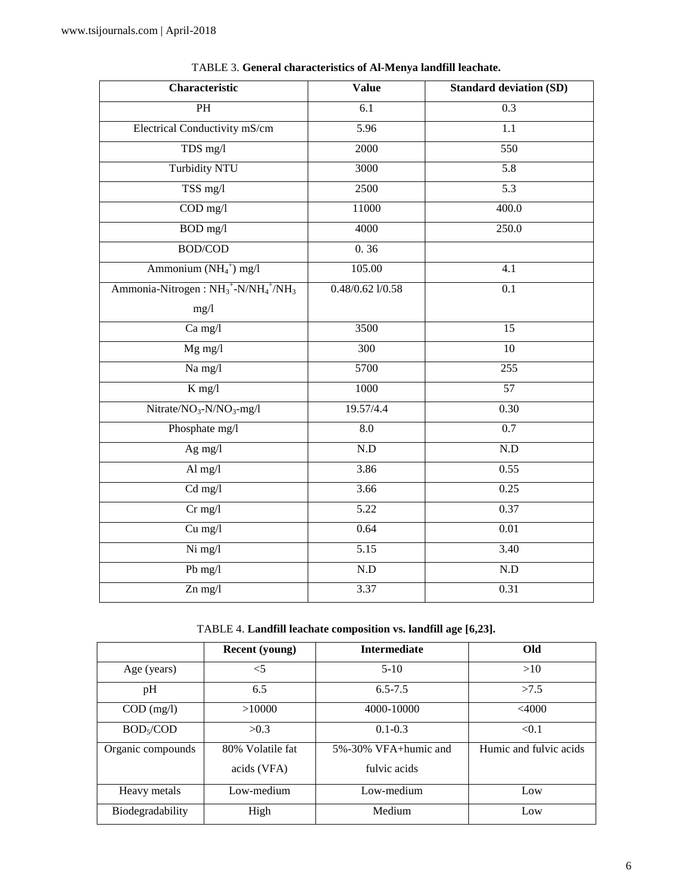| Characteristic                                                          | <b>Value</b>            | <b>Standard deviation (SD)</b> |
|-------------------------------------------------------------------------|-------------------------|--------------------------------|
| $\overline{PH}$                                                         | $\overline{6.1}$        | $\overline{0.3}$               |
| Electrical Conductivity mS/cm                                           | 5.96                    | 1.1                            |
| TDS mg/l                                                                | 2000                    | 550                            |
| <b>Turbidity NTU</b>                                                    | 3000                    | $\overline{5.8}$               |
| TSS mg/l                                                                | 2500                    | 5.3                            |
| $\overline{COD}$ mg/l                                                   | 11000                   | 400.0                          |
| BOD mg/l                                                                | 4000                    | 250.0                          |
| <b>BOD/COD</b>                                                          | 0.36                    |                                |
| Ammonium $(NH_4^+)$ mg/l                                                | 105.00                  | $\overline{4.1}$               |
| Ammonia-Nitrogen: NH <sub>3</sub> +-N/NH <sub>4</sub> +/NH <sub>3</sub> | $0.48/0.62$ $1/0.58$    | 0.1                            |
| mg/l                                                                    |                         |                                |
| Ca mg/l                                                                 | 3500                    | $\overline{15}$                |
| $Mg$ mg/l                                                               | 300                     | $\overline{10}$                |
| Na mg/l                                                                 | 5700                    | 255                            |
| $K$ mg/l                                                                | 1000                    | $\overline{57}$                |
| $Nitrate/NO3-N/NO3-mg/l$                                                | 19.57/4.4               | 0.30                           |
| Phosphate mg/l                                                          | 8.0                     | $\overline{0.7}$               |
| Ag mg/l                                                                 | $\rm N.D$               | N.D                            |
| Al $mg/l$                                                               | 3.86                    | 0.55                           |
| $Cd$ mg/l                                                               | 3.66                    | 0.25                           |
| $Cr$ mg/l                                                               | $\overline{5.22}$       | 0.37                           |
| Cu mg/l                                                                 | 0.64                    | 0.01                           |
| Ni mg/l                                                                 | $\overline{5.15}$       | 3.40                           |
| Pb mg/l                                                                 | $\overline{\text{N.D}}$ | $\overline{N.D}$               |
| $Zn$ mg/l                                                               | 3.37                    | 0.31                           |

TABLE 3. **General characteristics of Al-Menya landfill leachate.**

TABLE 4. **Landfill leachate composition vs. landfill age [6,23].**

|                       | <b>Recent</b> (young) | <b>Intermediate</b>        | Old                    |
|-----------------------|-----------------------|----------------------------|------------------------|
| Age (years)           | $<$ 5                 | $5-10$                     | >10                    |
| pH                    | 6.5                   | $6.5 - 7.5$                | >7.5                   |
| $COD$ (mg/l)          | >10000                | 4000-10000                 | <4000                  |
| BOD <sub>5</sub> /COD | >0.3                  | $0.1 - 0.3$                | < 0.1                  |
| Organic compounds     | 80% Volatile fat      | $5\% - 30\%$ VFA+humic and | Humic and fulvic acids |
|                       | acids (VFA)           | fulvic acids               |                        |
| Heavy metals          | Low-medium            | Low-medium                 | Low                    |
| Biodegradability      | High                  | Medium                     | Low                    |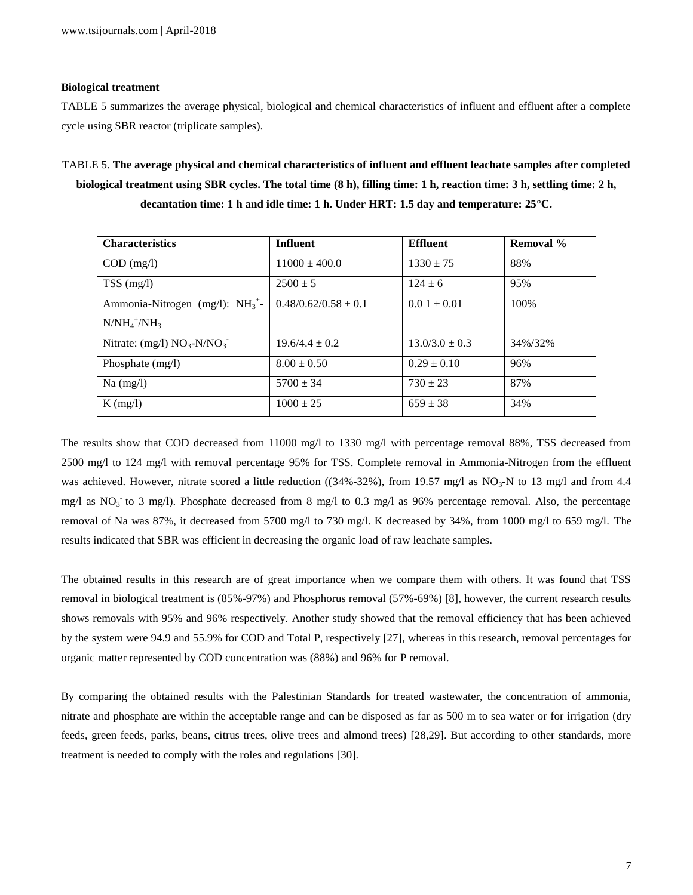## **Biological treatment**

TABLE 5 summarizes the average physical, biological and chemical characteristics of influent and effluent after a complete cycle using SBR reactor (triplicate samples).

TABLE 5. **The average physical and chemical characteristics of influent and effluent leachate samples after completed biological treatment using SBR cycles. The total time (8 h), filling time: 1 h, reaction time: 3 h, settling time: 2 h, decantation time: 1 h and idle time: 1 h. Under HRT: 1.5 day and temperature: 25°C.**

| <b>Characteristics</b>              | <b>Influent</b>          | <b>Effluent</b>    | <b>Removal</b> % |
|-------------------------------------|--------------------------|--------------------|------------------|
| $COD$ (mg/l)                        | $11000 \pm 400.0$        | $1330 \pm 75$      | 88%              |
| $TSS$ (mg/l)                        | $2500 \pm 5$             | $124 \pm 6$        | 95%              |
| Ammonia-Nitrogen (mg/l): $NH_3^+$ - | $0.48/0.62/0.58 \pm 0.1$ | $0.01 \pm 0.01$    | 100\%            |
| $N/NH_4^+/NH_3$                     |                          |                    |                  |
| Nitrate: $(mg/l) NO3-N/NO3$         | $19.6/4.4 \pm 0.2$       | $13.0/3.0 \pm 0.3$ | 34%/32%          |
| Phosphate $(mg/l)$                  | $8.00 \pm 0.50$          | $0.29 \pm 0.10$    | 96%              |
| $Na$ (mg/l)                         | $5700 \pm 34$            | $730 \pm 23$       | 87%              |
| $K$ (mg/l)                          | $1000 \pm 25$            | $659 \pm 38$       | 34%              |

The results show that COD decreased from 11000 mg/l to 1330 mg/l with percentage removal 88%, TSS decreased from 2500 mg/l to 124 mg/l with removal percentage 95% for TSS. Complete removal in Ammonia-Nitrogen from the effluent was achieved. However, nitrate scored a little reduction ( $(34\% -32\%)$ , from 19.57 mg/l as NO<sub>3</sub>-N to 13 mg/l and from 4.4 mg/l as  $NO<sub>3</sub>$  to 3 mg/l). Phosphate decreased from 8 mg/l to 0.3 mg/l as 96% percentage removal. Also, the percentage removal of Na was 87%, it decreased from 5700 mg/l to 730 mg/l. K decreased by 34%, from 1000 mg/l to 659 mg/l. The results indicated that SBR was efficient in decreasing the organic load of raw leachate samples.

The obtained results in this research are of great importance when we compare them with others. It was found that TSS removal in biological treatment is (85%-97%) and Phosphorus removal (57%-69%) [8], however, the current research results shows removals with 95% and 96% respectively. Another study showed that the removal efficiency that has been achieved by the system were 94.9 and 55.9% for COD and Total P, respectively [27], whereas in this research, removal percentages for organic matter represented by COD concentration was (88%) and 96% for P removal.

By comparing the obtained results with the Palestinian Standards for treated wastewater, the concentration of ammonia, nitrate and phosphate are within the acceptable range and can be disposed as far as 500 m to sea water or for irrigation (dry feeds, green feeds, parks, beans, citrus trees, olive trees and almond trees) [28,29]. But according to other standards, more treatment is needed to comply with the roles and regulations [30].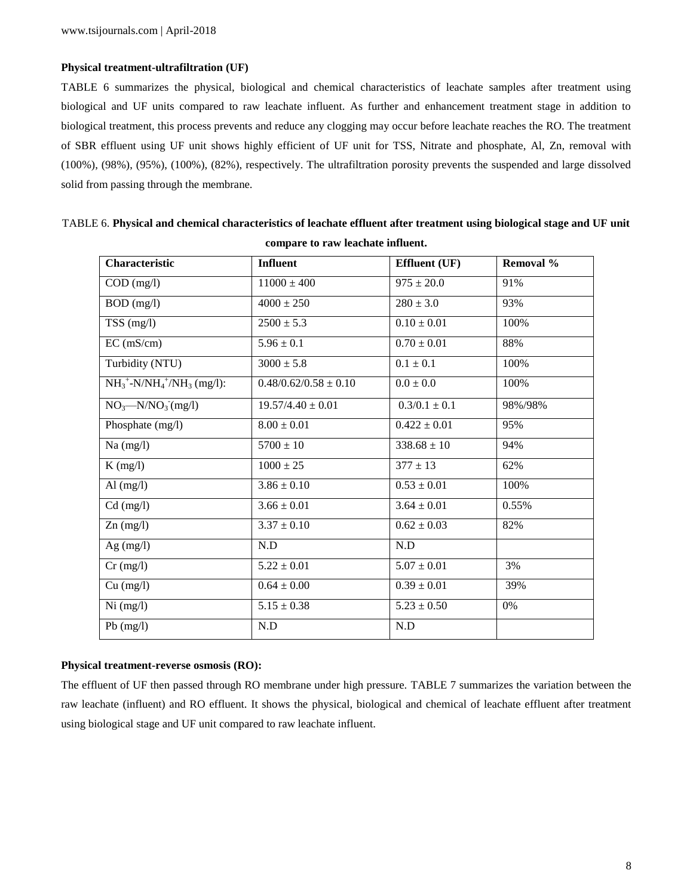## **Physical treatment-ultrafiltration (UF)**

TABLE 6 summarizes the physical, biological and chemical characteristics of leachate samples after treatment using biological and UF units compared to raw leachate influent. As further and enhancement treatment stage in addition to biological treatment, this process prevents and reduce any clogging may occur before leachate reaches the RO. The treatment of SBR effluent using UF unit shows highly efficient of UF unit for TSS, Nitrate and phosphate, Al, Zn, removal with (100%), (98%), (95%), (100%), (82%), respectively. The ultrafiltration porosity prevents the suspended and large dissolved solid from passing through the membrane.

| Characteristic                         | <b>Influent</b>           | <b>Effluent</b> (UF) | <b>Removal</b> % |
|----------------------------------------|---------------------------|----------------------|------------------|
| $COD$ (mg/l)                           | $11000 \pm 400$           | $975 \pm 20.0$       | 91%              |
| BOD (mg/l)                             | $4000 \pm 250$            | $280 \pm 3.0$        | 93%              |
| $\overline{\text{T}}$ SS (mg/l)        | $2500 \pm 5.3$            | $0.10 \pm 0.01$      | 100%             |
| EC (mS/cm)                             | $5.96 \pm 0.1$            | $0.70 \pm 0.01$      | 88%              |
| Turbidity (NTU)                        | $3000 \pm 5.8$            | $0.1 \pm 0.1$        | 100%             |
| $NH_3^+$ -N/N $H_4^+$ /N $H_3$ (mg/l): | $0.48/0.62/0.58 \pm 0.10$ | $0.0\pm0.0$          | 100%             |
| $NO3$ --N/NO <sub>3</sub> (mg/l)       | $19.57/4.40 \pm 0.01$     | $0.3/0.1 \pm 0.1$    | 98%/98%          |
| Phosphate (mg/l)                       | $8.00 \pm 0.01$           | $0.422 \pm 0.01$     | 95%              |
| $Na$ (mg/l)                            | $5700 \pm 10$             | $338.68 \pm 10$      | 94%              |
| $K$ (mg/l)                             | $1000 \pm 25$             | $377 \pm 13$         | 62%              |
| Al $(mg/l)$                            | $3.86 \pm 0.10$           | $0.53 \pm 0.01$      | 100%             |
| $Cd$ (mg/l)                            | $3.66 \pm 0.01$           | $3.64 \pm 0.01$      | 0.55%            |
| $Zn$ (mg/l)                            | $3.37 \pm 0.10$           | $0.62 \pm 0.03$      | 82%              |
| Ag $(mg/l)$                            | N.D                       | N.D                  |                  |
| $Cr$ (mg/l)                            | $5.22 \pm 0.01$           | $5.07 \pm 0.01$      | 3%               |
| Cu (mg/l)                              | $0.64\pm0.00$             | $0.39 \pm 0.01$      | 39%              |
| Ni (mg/l)                              | $5.15 \pm 0.38$           | $5.23 \pm 0.50$      | 0%               |
| $Pb$ (mg/l)                            | N.D                       | N.D                  |                  |

TABLE 6. **Physical and chemical characteristics of leachate effluent after treatment using biological stage and UF unit compare to raw leachate influent.**

## **Physical treatment-reverse osmosis (RO):**

The effluent of UF then passed through RO membrane under high pressure. TABLE 7 summarizes the variation between the raw leachate (influent) and RO effluent. It shows the physical, biological and chemical of leachate effluent after treatment using biological stage and UF unit compared to raw leachate influent.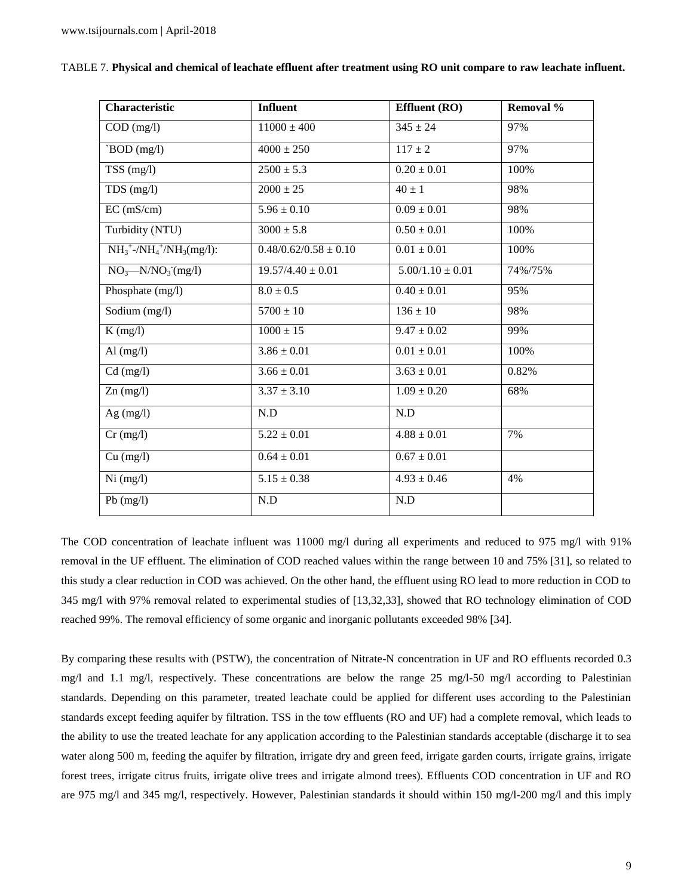| Characteristic                                                   | <b>Influent</b>           | Effluent (RO)        | Removal % |
|------------------------------------------------------------------|---------------------------|----------------------|-----------|
| $COD$ (mg/l)                                                     | $11000 \pm 400$           | $345 \pm 24$         | 97%       |
| `BOD (mg/l)                                                      | $4000 \pm 250$            | $117 \pm 2$          | 97%       |
| $TSS$ (mg/l)                                                     | $2500 \pm 5.3$            | $0.20 \pm 0.01$      | 100%      |
| TDS (mg/l)                                                       | $2000 \pm 25$             | $40 \pm 1$           | 98%       |
| EC (mS/cm)                                                       | $5.96 \pm 0.10$           | $0.09 \pm 0.01$      | 98%       |
| Turbidity (NTU)                                                  | $3000 \pm 5.8$            | $0.50 \pm 0.01$      | 100%      |
| $NH_3^+$ -/NH <sub>4</sub> <sup>+</sup> /NH <sub>3</sub> (mg/l): | $0.48/0.62/0.58 \pm 0.10$ | $0.01 \pm 0.01$      | 100%      |
| NO <sub>3</sub> —N/NO <sub>3</sub> (mg/l)                        | $19.57/4.40 \pm 0.01$     | $5.00/1.10 \pm 0.01$ | 74%/75%   |
| Phosphate (mg/l)                                                 | $8.0 \pm 0.5$             | $0.40 \pm 0.01$      | 95%       |
| Sodium (mg/l)                                                    | $5700 \pm 10$             | $136 \pm 10$         | 98%       |
| $K$ (mg/l)                                                       | $1000 \pm 15$             | $9.47 \pm 0.02$      | 99%       |
| Al $(mg/l)$                                                      | $3.86 \pm 0.01$           | $0.01 \pm 0.01$      | 100%      |
| $Cd$ (mg/l)                                                      | $3.66 \pm 0.01$           | $3.63 \pm 0.01$      | 0.82%     |
| $Zn$ (mg/l)                                                      | $3.37 \pm 3.10$           | $1.09 \pm 0.20$      | 68%       |
| Ag $(mg/l)$                                                      | N.D                       | N.D                  |           |
| $Cr$ (mg/l)                                                      | $5.22 \pm 0.01$           | $4.88 \pm 0.01$      | 7%        |
| Cu (mg/l)                                                        | $0.64 \pm 0.01$           | $0.67 \pm 0.01$      |           |
| Ni (mg/l)                                                        | $5.15 \pm 0.38$           | $4.93 \pm 0.46$      | 4%        |
| $Pb$ (mg/l)                                                      | N.D                       | N.D                  |           |

| TABLE 7. Physical and chemical of leachate effluent after treatment using RO unit compare to raw leachate influent. |  |  |
|---------------------------------------------------------------------------------------------------------------------|--|--|
|                                                                                                                     |  |  |

The COD concentration of leachate influent was 11000 mg/l during all experiments and reduced to 975 mg/l with 91% removal in the UF effluent. The elimination of COD reached values within the range between 10 and 75% [31], so related to this study a clear reduction in COD was achieved. On the other hand, the effluent using RO lead to more reduction in COD to 345 mg/l with 97% removal related to experimental studies of [13,32,33], showed that RO technology elimination of COD reached 99%. The removal efficiency of some organic and inorganic pollutants exceeded 98% [34].

By comparing these results with (PSTW), the concentration of Nitrate-N concentration in UF and RO effluents recorded 0.3 mg/l and 1.1 mg/l, respectively. These concentrations are below the range 25 mg/l-50 mg/l according to Palestinian standards. Depending on this parameter, treated leachate could be applied for different uses according to the Palestinian standards except feeding aquifer by filtration. TSS in the tow effluents (RO and UF) had a complete removal, which leads to the ability to use the treated leachate for any application according to the Palestinian standards acceptable (discharge it to sea water along 500 m, feeding the aquifer by filtration, irrigate dry and green feed, irrigate garden courts, irrigate grains, irrigate forest trees, irrigate citrus fruits, irrigate olive trees and irrigate almond trees). Effluents COD concentration in UF and RO are 975 mg/l and 345 mg/l, respectively. However, Palestinian standards it should within 150 mg/l-200 mg/l and this imply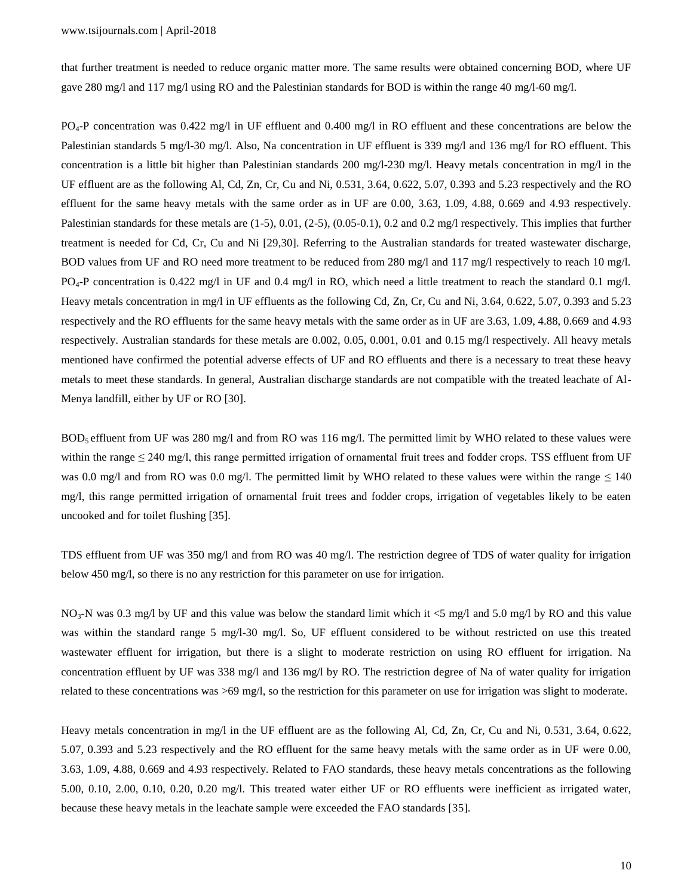that further treatment is needed to reduce organic matter more. The same results were obtained concerning BOD, where UF gave 280 mg/l and 117 mg/l using RO and the Palestinian standards for BOD is within the range 40 mg/l-60 mg/l.

PO4-P concentration was 0.422 mg/l in UF effluent and 0.400 mg/l in RO effluent and these concentrations are below the Palestinian standards 5 mg/l-30 mg/l. Also, Na concentration in UF effluent is 339 mg/l and 136 mg/l for RO effluent. This concentration is a little bit higher than Palestinian standards 200 mg/l-230 mg/l. Heavy metals concentration in mg/l in the UF effluent are as the following Al, Cd, Zn, Cr, Cu and Ni, 0.531, 3.64, 0.622, 5.07, 0.393 and 5.23 respectively and the RO effluent for the same heavy metals with the same order as in UF are 0.00, 3.63, 1.09, 4.88, 0.669 and 4.93 respectively. Palestinian standards for these metals are (1-5), 0.01, (2-5), (0.05-0.1), 0.2 and 0.2 mg/l respectively. This implies that further treatment is needed for Cd, Cr, Cu and Ni [29,30]. Referring to the Australian standards for treated wastewater discharge, BOD values from UF and RO need more treatment to be reduced from 280 mg/l and 117 mg/l respectively to reach 10 mg/l. PO4-P concentration is 0.422 mg/l in UF and 0.4 mg/l in RO, which need a little treatment to reach the standard 0.1 mg/l. Heavy metals concentration in mg/l in UF effluents as the following Cd, Zn, Cr, Cu and Ni, 3.64, 0.622, 5.07, 0.393 and 5.23 respectively and the RO effluents for the same heavy metals with the same order as in UF are 3.63, 1.09, 4.88, 0.669 and 4.93 respectively. Australian standards for these metals are 0.002, 0.05, 0.001, 0.01 and 0.15 mg/l respectively. All heavy metals mentioned have confirmed the potential adverse effects of UF and RO effluents and there is a necessary to treat these heavy metals to meet these standards. In general, Australian discharge standards are not compatible with the treated leachate of Al-Menya landfill, either by UF or RO [30].

BOD<sup>5</sup> effluent from UF was 280 mg/l and from RO was 116 mg/l. The permitted limit by WHO related to these values were within the range  $\leq$  240 mg/l, this range permitted irrigation of ornamental fruit trees and fodder crops. TSS effluent from UF was 0.0 mg/l and from RO was 0.0 mg/l. The permitted limit by WHO related to these values were within the range  $\leq 140$ mg/l, this range permitted irrigation of ornamental fruit trees and fodder crops, irrigation of vegetables likely to be eaten uncooked and for toilet flushing [35].

TDS effluent from UF was 350 mg/l and from RO was 40 mg/l. The restriction degree of TDS of water quality for irrigation below 450 mg/l, so there is no any restriction for this parameter on use for irrigation.

 $NO<sub>3</sub>-N$  was 0.3 mg/l by UF and this value was below the standard limit which it <5 mg/l and 5.0 mg/l by RO and this value was within the standard range 5 mg/l-30 mg/l. So, UF effluent considered to be without restricted on use this treated wastewater effluent for irrigation, but there is a slight to moderate restriction on using RO effluent for irrigation. Na concentration effluent by UF was 338 mg/l and 136 mg/l by RO. The restriction degree of Na of water quality for irrigation related to these concentrations was >69 mg/l, so the restriction for this parameter on use for irrigation was slight to moderate.

Heavy metals concentration in mg/l in the UF effluent are as the following Al, Cd, Zn, Cr, Cu and Ni, 0.531, 3.64, 0.622, 5.07, 0.393 and 5.23 respectively and the RO effluent for the same heavy metals with the same order as in UF were 0.00, 3.63, 1.09, 4.88, 0.669 and 4.93 respectively. Related to FAO standards, these heavy metals concentrations as the following 5.00, 0.10, 2.00, 0.10, 0.20, 0.20 mg/l. This treated water either UF or RO effluents were inefficient as irrigated water, because these heavy metals in the leachate sample were exceeded the FAO standards [35].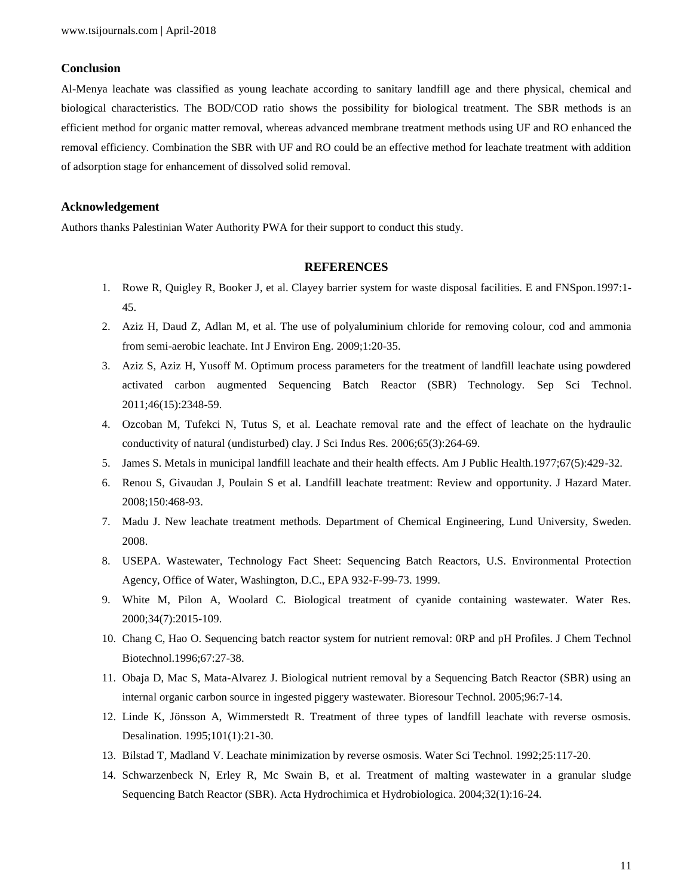## **Conclusion**

Al-Menya leachate was classified as young leachate according to sanitary landfill age and there physical, chemical and biological characteristics. The BOD/COD ratio shows the possibility for biological treatment. The SBR methods is an efficient method for organic matter removal, whereas advanced membrane treatment methods using UF and RO enhanced the removal efficiency. Combination the SBR with UF and RO could be an effective method for leachate treatment with addition of adsorption stage for enhancement of dissolved solid removal.

## **Acknowledgement**

Authors thanks Palestinian Water Authority PWA for their support to conduct this study.

## **REFERENCES**

- 1. Rowe R, Quigley R, Booker J, et al. Clayey barrier system for waste disposal facilities. E and FNSpon.1997:1- 45.
- 2. Aziz H, Daud Z, Adlan M, et al. The use of polyaluminium chloride for removing colour, cod and ammonia from semi-aerobic leachate. Int J Environ Eng. 2009;1:20-35.
- 3. Aziz S, Aziz H, Yusoff M. Optimum process parameters for the treatment of landfill leachate using powdered activated carbon augmented Sequencing Batch Reactor (SBR) Technology. Sep Sci Technol. 2011;46(15):2348-59.
- 4. Ozcoban M, Tufekci N, Tutus S, et al. Leachate removal rate and the effect of leachate on the hydraulic conductivity of natural (undisturbed) clay. J Sci Indus Res. 2006;65(3):264-69.
- 5. James S. Metals in municipal landfill leachate and their health effects. Am J Public Health.1977;67(5):429-32.
- 6. Renou S, Givaudan J, Poulain S et al. Landfill leachate treatment: Review and opportunity. J Hazard Mater. 2008;150:468-93.
- 7. Madu J. New leachate treatment methods. Department of Chemical Engineering, Lund University, Sweden. 2008.
- 8. USEPA. Wastewater, Technology Fact Sheet: Sequencing Batch Reactors, U.S. Environmental Protection Agency, Office of Water, Washington, D.C., EPA 932-F-99-73. 1999.
- 9. White M, Pilon A, Woolard C. Biological treatment of cyanide containing wastewater. Water Res. 2000;34(7):2015-109.
- 10. Chang C, Hao O. Sequencing batch reactor system for nutrient removal: 0RP and pH Profiles. J Chem Technol Biotechnol.1996;67:27-38.
- 11. Obaja D, Mac S, Mata-Alvarez J. Biological nutrient removal by a Sequencing Batch Reactor (SBR) using an internal organic carbon source in ingested piggery wastewater. Bioresour Technol. 2005;96:7-14.
- 12. Linde K, Jönsson A, Wimmerstedt R. Treatment of three types of landfill leachate with reverse osmosis. Desalination. 1995;101(1):21-30.
- 13. Bilstad T, Madland V. Leachate minimization by reverse osmosis. Water Sci Technol. 1992;25:117-20.
- 14. Schwarzenbeck N, Erley R, Mc Swain B, et al. Treatment of malting wastewater in a granular sludge Sequencing Batch Reactor (SBR). Acta Hydrochimica et Hydrobiologica. 2004;32(1):16-24.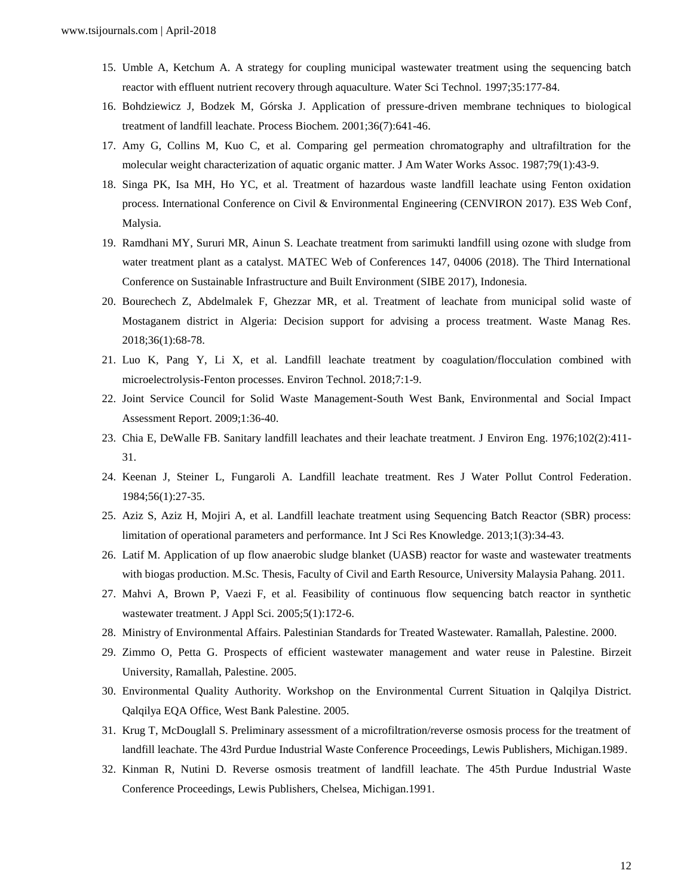- 15. Umble A, Ketchum A. A strategy for coupling municipal wastewater treatment using the sequencing batch reactor with effluent nutrient recovery through aquaculture. Water Sci Technol. 1997;35:177-84.
- 16. Bohdziewicz J, Bodzek M, Górska J. Application of pressure-driven membrane techniques to biological treatment of landfill leachate. Process Biochem. 2001;36(7):641-46.
- 17. Amy G, Collins M, Kuo C, et al. Comparing gel permeation chromatography and ultrafiltration for the molecular weight characterization of aquatic organic matter. J Am Water Works Assoc. 1987;79(1):43-9.
- 18. Singa PK, Isa MH, Ho YC, et al. Treatment of hazardous waste landfill leachate using Fenton oxidation process. International Conference on Civil & Environmental Engineering (CENVIRON 2017). E3S Web Conf, Malysia.
- 19. Ramdhani MY, Sururi MR, Ainun S. Leachate treatment from sarimukti landfill using ozone with sludge from water treatment plant as a catalyst. MATEC Web of Conferences 147, 04006 (2018). The Third International Conference on Sustainable Infrastructure and Built Environment (SIBE 2017), Indonesia.
- 20. Bourechech Z, Abdelmalek F, Ghezzar MR, et al. Treatment of leachate from municipal solid waste of Mostaganem district in Algeria: Decision support for advising a process treatment. Waste Manag Res. 2018;36(1):68-78.
- 21. Luo K, Pang Y, Li X, et al. Landfill leachate treatment by coagulation/flocculation combined with microelectrolysis-Fenton processes. Environ Technol. 2018;7:1-9.
- 22. Joint Service Council for Solid Waste Management-South West Bank, Environmental and Social Impact Assessment Report. 2009;1:36-40.
- 23. Chia E, DeWalle FB. Sanitary landfill leachates and their leachate treatment. J Environ Eng. 1976;102(2):411- 31.
- 24. Keenan J, Steiner L, Fungaroli A. Landfill leachate treatment. Res J Water Pollut Control Federation. 1984;56(1):27-35.
- 25. Aziz S, Aziz H, Mojiri A, et al. Landfill leachate treatment using Sequencing Batch Reactor (SBR) process: limitation of operational parameters and performance. Int J Sci Res Knowledge. 2013;1(3):34-43.
- 26. Latif M. Application of up flow anaerobic sludge blanket (UASB) reactor for waste and wastewater treatments with biogas production. M.Sc. Thesis, Faculty of Civil and Earth Resource, University Malaysia Pahang. 2011.
- 27. Mahvi A, Brown P, Vaezi F, et al. Feasibility of continuous flow sequencing batch reactor in synthetic wastewater treatment. J Appl Sci. 2005;5(1):172-6.
- 28. Ministry of Environmental Affairs. Palestinian Standards for Treated Wastewater. Ramallah, Palestine. 2000.
- 29. Zimmo O, Petta G. Prospects of efficient wastewater management and water reuse in Palestine. Birzeit University, Ramallah, Palestine. 2005.
- 30. Environmental Quality Authority. Workshop on the Environmental Current Situation in Qalqilya District. Qalqilya EQA Office, West Bank Palestine. 2005.
- 31. Krug T, McDouglall S. Preliminary assessment of a microfiltration/reverse osmosis process for the treatment of landfill leachate. The 43rd Purdue Industrial Waste Conference Proceedings, Lewis Publishers, Michigan.1989.
- 32. Kinman R, Nutini D. Reverse osmosis treatment of landfill leachate. The 45th Purdue Industrial Waste Conference Proceedings, Lewis Publishers, Chelsea, Michigan.1991.